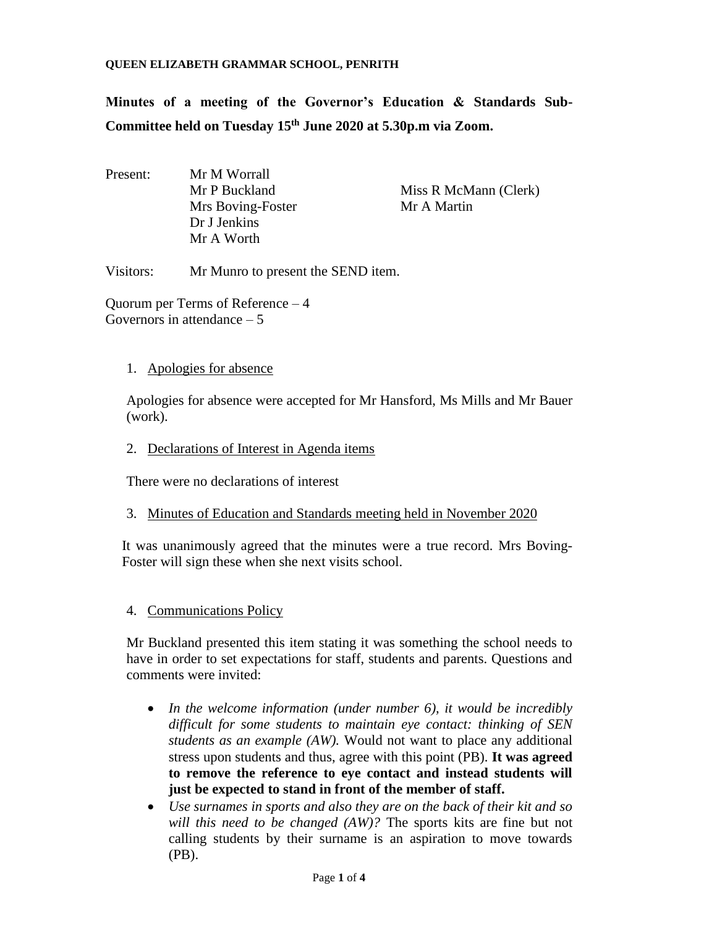**Minutes of a meeting of the Governor's Education & Standards Sub-Committee held on Tuesday 15th June 2020 at 5.30p.m via Zoom.**

Present: Mr M Worrall Mrs Boving-Foster Mr A Martin Dr J Jenkins Mr A Worth

Mr P Buckland Miss R McMann (Clerk)

Visitors: Mr Munro to present the SEND item.

Quorum per Terms of Reference – 4 Governors in attendance – 5

### 1. Apologies for absence

Apologies for absence were accepted for Mr Hansford, Ms Mills and Mr Bauer (work).

### 2. Declarations of Interest in Agenda items

There were no declarations of interest

3. Minutes of Education and Standards meeting held in November 2020

It was unanimously agreed that the minutes were a true record. Mrs Boving-Foster will sign these when she next visits school.

4. Communications Policy

Mr Buckland presented this item stating it was something the school needs to have in order to set expectations for staff, students and parents. Questions and comments were invited:

- *In the welcome information (under number 6), it would be incredibly difficult for some students to maintain eye contact: thinking of SEN students as an example (AW).* Would not want to place any additional stress upon students and thus, agree with this point (PB). **It was agreed to remove the reference to eye contact and instead students will just be expected to stand in front of the member of staff.**
- *Use surnames in sports and also they are on the back of their kit and so will this need to be changed (AW)?* The sports kits are fine but not calling students by their surname is an aspiration to move towards (PB).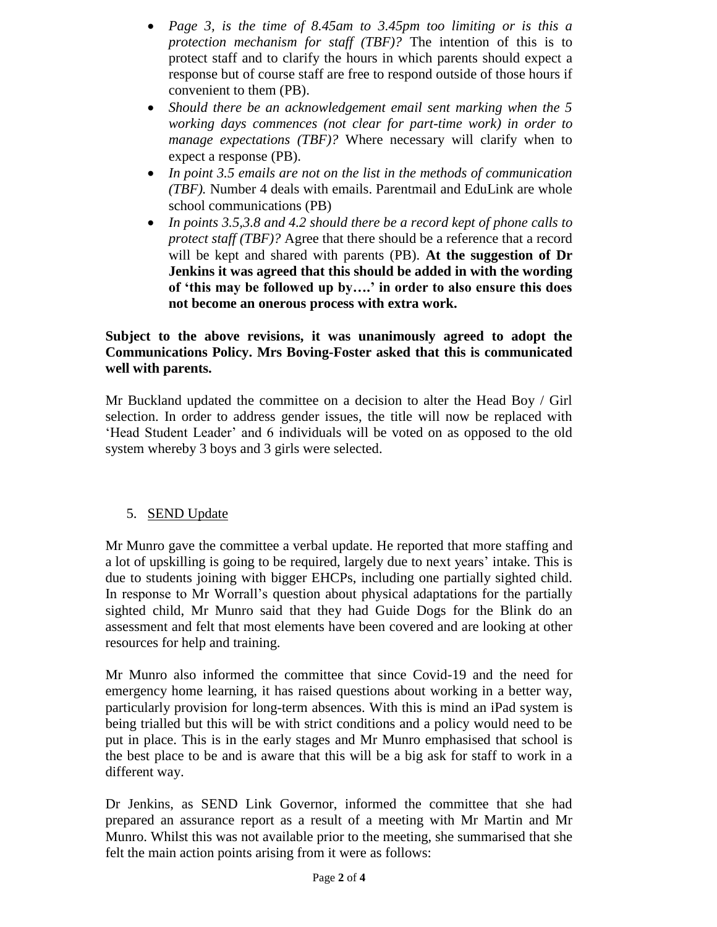- *Page 3, is the time of 8.45am to 3.45pm too limiting or is this a protection mechanism for staff (TBF)?* The intention of this is to protect staff and to clarify the hours in which parents should expect a response but of course staff are free to respond outside of those hours if convenient to them (PB).
- *Should there be an acknowledgement email sent marking when the 5 working days commences (not clear for part-time work) in order to manage expectations (TBF)?* Where necessary will clarify when to expect a response (PB).
- *In point 3.5 emails are not on the list in the methods of communication (TBF).* Number 4 deals with emails. Parentmail and EduLink are whole school communications (PB)
- *In points 3.5,3.8 and 4.2 should there be a record kept of phone calls to protect staff (TBF)?* Agree that there should be a reference that a record will be kept and shared with parents (PB). **At the suggestion of Dr Jenkins it was agreed that this should be added in with the wording of 'this may be followed up by….' in order to also ensure this does not become an onerous process with extra work.**

## **Subject to the above revisions, it was unanimously agreed to adopt the Communications Policy. Mrs Boving-Foster asked that this is communicated well with parents.**

Mr Buckland updated the committee on a decision to alter the Head Boy / Girl selection. In order to address gender issues, the title will now be replaced with 'Head Student Leader' and 6 individuals will be voted on as opposed to the old system whereby 3 boys and 3 girls were selected.

# 5. SEND Update

Mr Munro gave the committee a verbal update. He reported that more staffing and a lot of upskilling is going to be required, largely due to next years' intake. This is due to students joining with bigger EHCPs, including one partially sighted child. In response to Mr Worrall's question about physical adaptations for the partially sighted child, Mr Munro said that they had Guide Dogs for the Blink do an assessment and felt that most elements have been covered and are looking at other resources for help and training.

Mr Munro also informed the committee that since Covid-19 and the need for emergency home learning, it has raised questions about working in a better way, particularly provision for long-term absences. With this is mind an iPad system is being trialled but this will be with strict conditions and a policy would need to be put in place. This is in the early stages and Mr Munro emphasised that school is the best place to be and is aware that this will be a big ask for staff to work in a different way.

Dr Jenkins, as SEND Link Governor, informed the committee that she had prepared an assurance report as a result of a meeting with Mr Martin and Mr Munro. Whilst this was not available prior to the meeting, she summarised that she felt the main action points arising from it were as follows: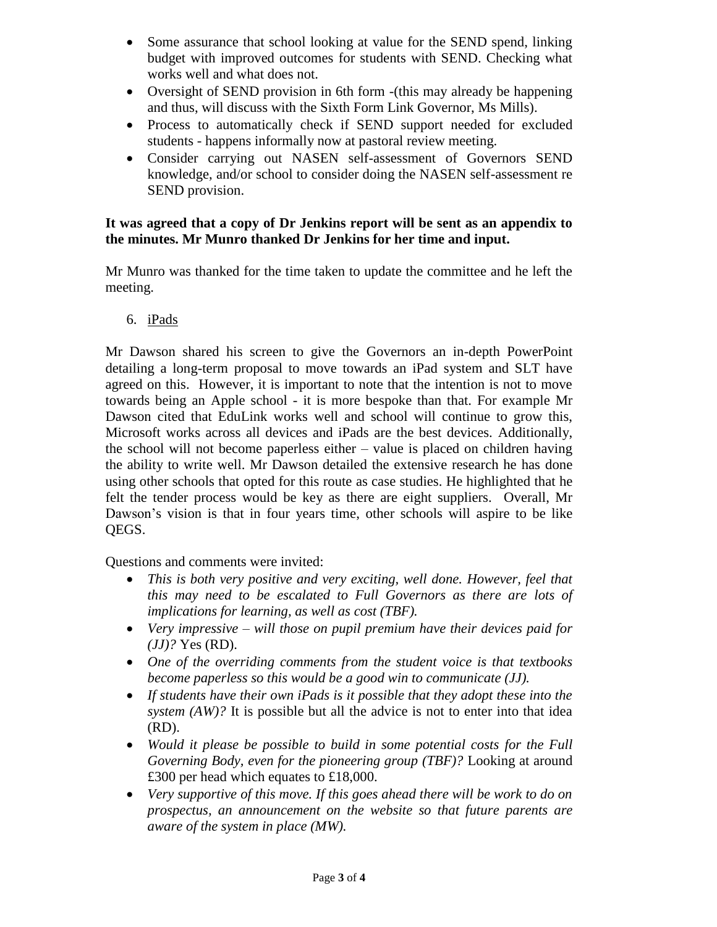- Some assurance that school looking at value for the SEND spend, linking budget with improved outcomes for students with SEND. Checking what works well and what does not.
- Oversight of SEND provision in 6th form -(this may already be happening and thus, will discuss with the Sixth Form Link Governor, Ms Mills).
- Process to automatically check if SEND support needed for excluded students - happens informally now at pastoral review meeting.
- Consider carrying out NASEN self-assessment of Governors SEND knowledge, and/or school to consider doing the NASEN self-assessment re SEND provision.

## **It was agreed that a copy of Dr Jenkins report will be sent as an appendix to the minutes. Mr Munro thanked Dr Jenkins for her time and input.**

Mr Munro was thanked for the time taken to update the committee and he left the meeting.

6. iPads

Mr Dawson shared his screen to give the Governors an in-depth PowerPoint detailing a long-term proposal to move towards an iPad system and SLT have agreed on this. However, it is important to note that the intention is not to move towards being an Apple school - it is more bespoke than that. For example Mr Dawson cited that EduLink works well and school will continue to grow this, Microsoft works across all devices and iPads are the best devices. Additionally, the school will not become paperless either – value is placed on children having the ability to write well. Mr Dawson detailed the extensive research he has done using other schools that opted for this route as case studies. He highlighted that he felt the tender process would be key as there are eight suppliers. Overall, Mr Dawson's vision is that in four years time, other schools will aspire to be like QEGS.

Questions and comments were invited:

- *This is both very positive and very exciting, well done. However, feel that this may need to be escalated to Full Governors as there are lots of implications for learning, as well as cost (TBF).*
- *Very impressive – will those on pupil premium have their devices paid for (JJ)?* Yes (RD).
- *One of the overriding comments from the student voice is that textbooks become paperless so this would be a good win to communicate (JJ).*
- *If students have their own iPads is it possible that they adopt these into the system (AW)?* It is possible but all the advice is not to enter into that idea (RD).
- *Would it please be possible to build in some potential costs for the Full Governing Body, even for the pioneering group (TBF)?* Looking at around £300 per head which equates to £18,000.
- *Very supportive of this move. If this goes ahead there will be work to do on prospectus, an announcement on the website so that future parents are aware of the system in place (MW).*